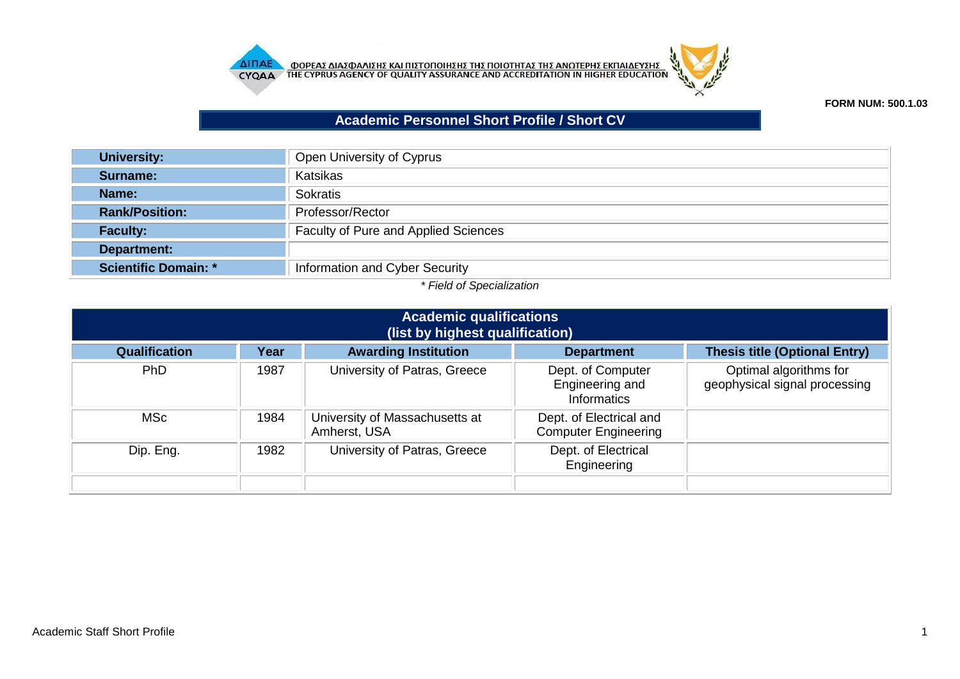



## **FORM NUM: 500.1.03**

## **Academic Personnel Short Profile / Short CV**

| <b>University:</b>          | Open University of Cyprus            |  |  |  |
|-----------------------------|--------------------------------------|--|--|--|
| Surname:                    | Katsikas                             |  |  |  |
| Name:                       | Sokratis                             |  |  |  |
| <b>Rank/Position:</b>       | Professor/Rector                     |  |  |  |
| <b>Faculty:</b>             | Faculty of Pure and Applied Sciences |  |  |  |
| Department:                 |                                      |  |  |  |
| <b>Scientific Domain: *</b> | Information and Cyber Security       |  |  |  |

## *\* Field of Specialization*

| <b>Academic qualifications</b><br>(list by highest qualification) |      |                                                |                                                            |                                                         |  |  |
|-------------------------------------------------------------------|------|------------------------------------------------|------------------------------------------------------------|---------------------------------------------------------|--|--|
| <b>Qualification</b>                                              | Year | <b>Awarding Institution</b>                    | <b>Department</b>                                          | <b>Thesis title (Optional Entry)</b>                    |  |  |
| <b>PhD</b>                                                        | 1987 | University of Patras, Greece                   | Dept. of Computer<br>Engineering and<br><b>Informatics</b> | Optimal algorithms for<br>geophysical signal processing |  |  |
| <b>MSc</b>                                                        | 1984 | University of Massachusetts at<br>Amherst, USA | Dept. of Electrical and<br><b>Computer Engineering</b>     |                                                         |  |  |
| Dip. Eng.                                                         | 1982 | University of Patras, Greece                   | Dept. of Electrical<br>Engineering                         |                                                         |  |  |
|                                                                   |      |                                                |                                                            |                                                         |  |  |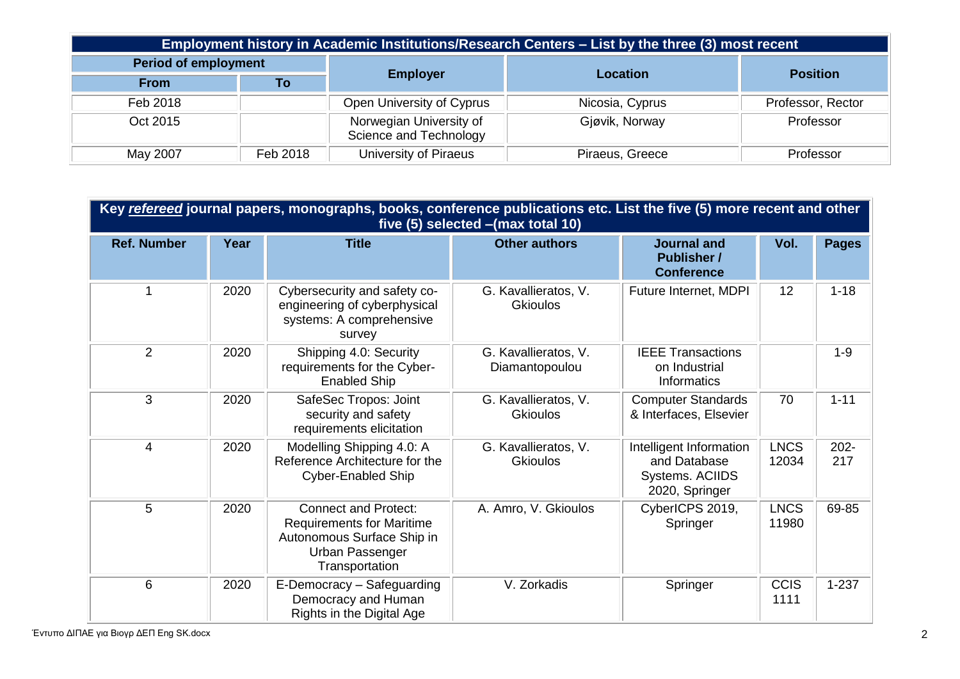| Employment history in Academic Institutions/Research Centers – List by the three (3) most recent |          |                                                   |                 |                   |  |  |
|--------------------------------------------------------------------------------------------------|----------|---------------------------------------------------|-----------------|-------------------|--|--|
| <b>Period of employment</b>                                                                      |          |                                                   | Location        |                   |  |  |
| <b>From</b>                                                                                      | To       | <b>Employer</b>                                   |                 | <b>Position</b>   |  |  |
| Feb 2018                                                                                         |          | Open University of Cyprus                         | Nicosia, Cyprus | Professor, Rector |  |  |
| Oct 2015                                                                                         |          | Norwegian University of<br>Science and Technology | Gjøvik, Norway  | Professor         |  |  |
| May 2007                                                                                         | Feb 2018 | University of Piraeus<br>Piraeus, Greece          |                 | Professor         |  |  |

| Key refereed journal papers, monographs, books, conference publications etc. List the five (5) more recent and other<br>five (5) selected - (max total 10) |      |                                                                                                                                    |                                         |                                                                              |                      |                |  |
|------------------------------------------------------------------------------------------------------------------------------------------------------------|------|------------------------------------------------------------------------------------------------------------------------------------|-----------------------------------------|------------------------------------------------------------------------------|----------------------|----------------|--|
| <b>Ref. Number</b>                                                                                                                                         | Year | <b>Title</b>                                                                                                                       | <b>Other authors</b>                    | <b>Journal and</b><br><b>Publisher /</b><br><b>Conference</b>                | Vol.                 | <b>Pages</b>   |  |
|                                                                                                                                                            | 2020 | Cybersecurity and safety co-<br>engineering of cyberphysical<br>systems: A comprehensive<br>survey                                 | G. Kavallieratos, V.<br><b>Gkioulos</b> | Future Internet, MDPI                                                        | 12                   | $1 - 18$       |  |
| $\overline{2}$                                                                                                                                             | 2020 | Shipping 4.0: Security<br>requirements for the Cyber-<br><b>Enabled Ship</b>                                                       | G. Kavallieratos, V.<br>Diamantopoulou  | <b>IEEE Transactions</b><br>on Industrial<br><b>Informatics</b>              |                      | $1 - 9$        |  |
| 3                                                                                                                                                          | 2020 | SafeSec Tropos: Joint<br>security and safety<br>requirements elicitation                                                           | G. Kavallieratos, V.<br><b>Gkioulos</b> | <b>Computer Standards</b><br>& Interfaces, Elsevier                          | 70                   | $1 - 11$       |  |
| 4                                                                                                                                                          | 2020 | Modelling Shipping 4.0: A<br>Reference Architecture for the<br><b>Cyber-Enabled Ship</b>                                           | G. Kavallieratos, V.<br><b>Gkioulos</b> | Intelligent Information<br>and Database<br>Systems. ACIIDS<br>2020, Springer | <b>LNCS</b><br>12034 | $202 -$<br>217 |  |
| 5                                                                                                                                                          | 2020 | <b>Connect and Protect:</b><br><b>Requirements for Maritime</b><br>Autonomous Surface Ship in<br>Urban Passenger<br>Transportation | A. Amro, V. Gkioulos                    | CyberICPS 2019,<br>Springer                                                  | <b>LNCS</b><br>11980 | 69-85          |  |
| 6                                                                                                                                                          | 2020 | E-Democracy - Safeguarding<br>Democracy and Human<br>Rights in the Digital Age                                                     | V. Zorkadis                             | Springer                                                                     | <b>CCIS</b><br>1111  | $1 - 237$      |  |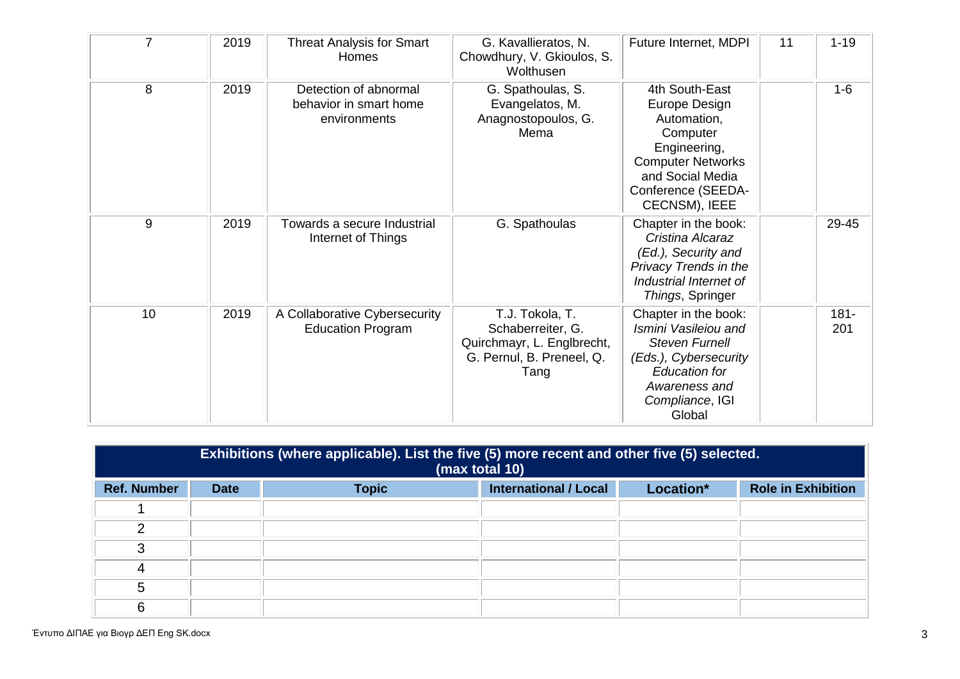| $\overline{7}$ | 2019 | <b>Threat Analysis for Smart</b><br>Homes                       | G. Kavallieratos, N.<br>Chowdhury, V. Gkioulos, S.<br>Wolthusen                                         | Future Internet, MDPI                                                                                                                                                | 11 | $1 - 19$       |
|----------------|------|-----------------------------------------------------------------|---------------------------------------------------------------------------------------------------------|----------------------------------------------------------------------------------------------------------------------------------------------------------------------|----|----------------|
| 8              | 2019 | Detection of abnormal<br>behavior in smart home<br>environments | G. Spathoulas, S.<br>Evangelatos, M.<br>Anagnostopoulos, G.<br>Mema                                     | 4th South-East<br>Europe Design<br>Automation,<br>Computer<br>Engineering,<br><b>Computer Networks</b><br>and Social Media<br>Conference (SEEDA-<br>CECNSM), IEEE    |    | $1 - 6$        |
| 9              | 2019 | Towards a secure Industrial<br>Internet of Things               | G. Spathoulas                                                                                           | Chapter in the book:<br>Cristina Alcaraz<br>(Ed.), Security and<br>Privacy Trends in the<br>Industrial Internet of<br>Things, Springer                               |    | 29-45          |
| 10             | 2019 | A Collaborative Cybersecurity<br><b>Education Program</b>       | T.J. Tokola, T.<br>Schaberreiter, G.<br>Quirchmayr, L. Englbrecht,<br>G. Pernul, B. Preneel, Q.<br>Tang | Chapter in the book:<br>Ismini Vasileiou and<br><b>Steven Furnell</b><br>(Eds.), Cybersecurity<br><b>Education for</b><br>Awareness and<br>Compliance, IGI<br>Global |    | $181 -$<br>201 |

|                    | Exhibitions (where applicable). List the five (5) more recent and other five (5) selected.<br>(max total 10) |              |                              |           |                           |  |
|--------------------|--------------------------------------------------------------------------------------------------------------|--------------|------------------------------|-----------|---------------------------|--|
| <b>Ref. Number</b> | <b>Date</b>                                                                                                  | <b>Topic</b> | <b>International / Local</b> | Location* | <b>Role in Exhibition</b> |  |
|                    |                                                                                                              |              |                              |           |                           |  |
| າ                  |                                                                                                              |              |                              |           |                           |  |
| 3                  |                                                                                                              |              |                              |           |                           |  |
| 4                  |                                                                                                              |              |                              |           |                           |  |
| 5                  |                                                                                                              |              |                              |           |                           |  |
| 6                  |                                                                                                              |              |                              |           |                           |  |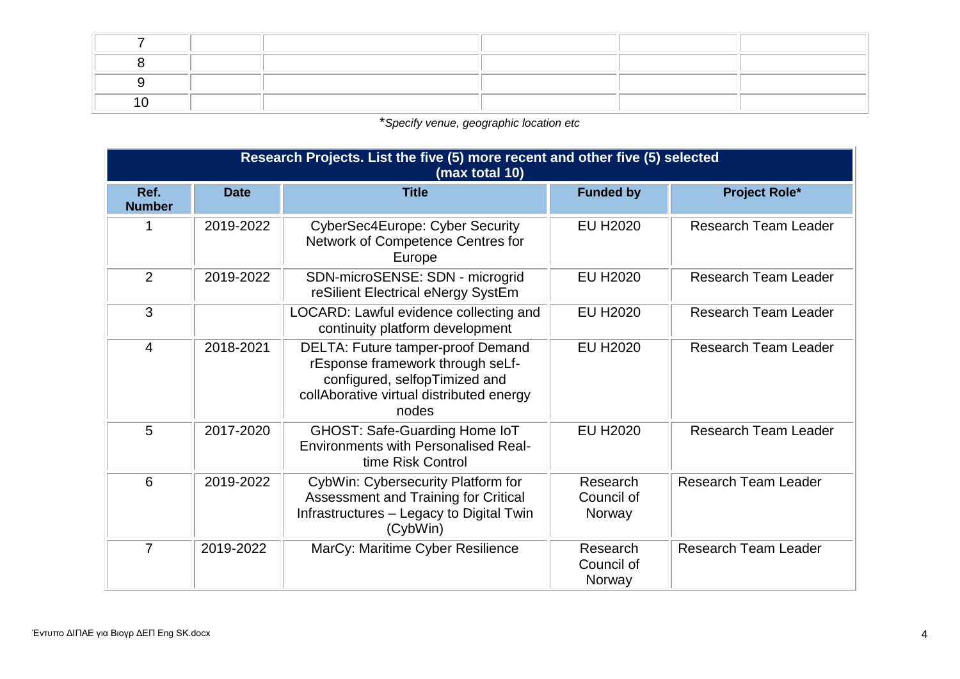\**Specify venue, geographic location etc*

|                       | Research Projects. List the five (5) more recent and other five (5) selected<br>(max total 10) |                                                                                                                                                                    |                                  |                             |  |  |  |
|-----------------------|------------------------------------------------------------------------------------------------|--------------------------------------------------------------------------------------------------------------------------------------------------------------------|----------------------------------|-----------------------------|--|--|--|
| Ref.<br><b>Number</b> | <b>Date</b>                                                                                    | <b>Title</b>                                                                                                                                                       | <b>Funded by</b>                 | <b>Project Role*</b>        |  |  |  |
|                       | 2019-2022                                                                                      | <b>CyberSec4Europe: Cyber Security</b><br>Network of Competence Centres for<br>Europe                                                                              | <b>EU H2020</b>                  | <b>Research Team Leader</b> |  |  |  |
| 2                     | 2019-2022                                                                                      | SDN-microSENSE: SDN - microgrid<br>reSilient Electrical eNergy SystEm                                                                                              | <b>EU H2020</b>                  | <b>Research Team Leader</b> |  |  |  |
| 3                     |                                                                                                | LOCARD: Lawful evidence collecting and<br>continuity platform development                                                                                          | <b>EU H2020</b>                  | <b>Research Team Leader</b> |  |  |  |
| 4                     | 2018-2021                                                                                      | <b>DELTA: Future tamper-proof Demand</b><br>rEsponse framework through seLf-<br>configured, selfopTimized and<br>collAborative virtual distributed energy<br>nodes | <b>EU H2020</b>                  | Research Team Leader        |  |  |  |
| 5                     | 2017-2020                                                                                      | GHOST: Safe-Guarding Home IoT<br><b>Environments with Personalised Real-</b><br>time Risk Control                                                                  | <b>EU H2020</b>                  | <b>Research Team Leader</b> |  |  |  |
| 6                     | 2019-2022                                                                                      | CybWin: Cybersecurity Platform for<br>Assessment and Training for Critical<br>Infrastructures - Legacy to Digital Twin<br>(CybWin)                                 | Research<br>Council of<br>Norway | <b>Research Team Leader</b> |  |  |  |
| $\overline{7}$        | 2019-2022                                                                                      | MarCy: Maritime Cyber Resilience                                                                                                                                   | Research<br>Council of<br>Norway | <b>Research Team Leader</b> |  |  |  |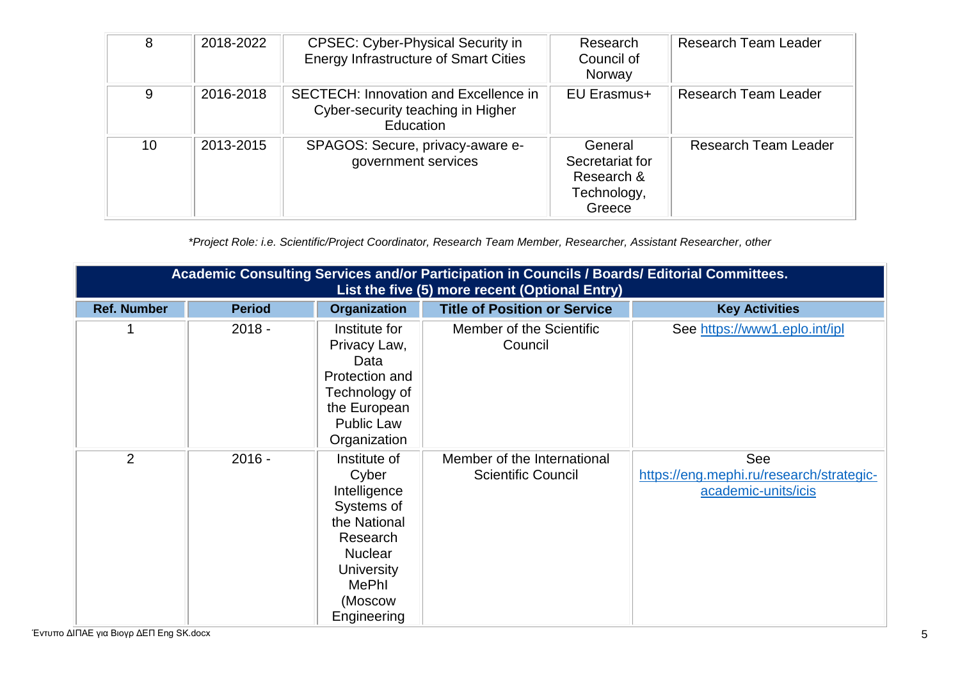| 8  | 2018-2022 | <b>CPSEC: Cyber-Physical Security in</b><br><b>Energy Infrastructure of Smart Cities</b> | Research<br>Council of<br>Norway                                  | <b>Research Team Leader</b> |
|----|-----------|------------------------------------------------------------------------------------------|-------------------------------------------------------------------|-----------------------------|
| 9  | 2016-2018 | SECTECH: Innovation and Excellence in<br>Cyber-security teaching in Higher<br>Education  | <b>EU Erasmus+</b>                                                | <b>Research Team Leader</b> |
| 10 | 2013-2015 | SPAGOS: Secure, privacy-aware e-<br>government services                                  | General<br>Secretariat for<br>Research &<br>Technology,<br>Greece | <b>Research Team Leader</b> |

*\*Project Role: i.e. Scientific/Project Coordinator, Research Team Member, Researcher, Assistant Researcher, other*

|                    | Academic Consulting Services and/or Participation in Councils / Boards/ Editorial Committees.<br>List the five (5) more recent (Optional Entry) |                                                                                                                                                                  |                                                          |                                                                        |  |  |
|--------------------|-------------------------------------------------------------------------------------------------------------------------------------------------|------------------------------------------------------------------------------------------------------------------------------------------------------------------|----------------------------------------------------------|------------------------------------------------------------------------|--|--|
| <b>Ref. Number</b> | <b>Period</b>                                                                                                                                   | <b>Organization</b>                                                                                                                                              | <b>Title of Position or Service</b>                      | <b>Key Activities</b>                                                  |  |  |
|                    | $2018 -$                                                                                                                                        | Institute for<br>Privacy Law,<br>Data<br>Protection and<br>Technology of<br>the European<br><b>Public Law</b><br>Organization                                    | Member of the Scientific<br>Council                      | See https://www1.eplo.int/ipl                                          |  |  |
| $\overline{2}$     | $2016 -$                                                                                                                                        | Institute of<br>Cyber<br>Intelligence<br>Systems of<br>the National<br>Research<br><b>Nuclear</b><br><b>University</b><br><b>MePhl</b><br>(Moscow<br>Engineering | Member of the International<br><b>Scientific Council</b> | See<br>https://eng.mephi.ru/research/strategic-<br>academic-units/icis |  |  |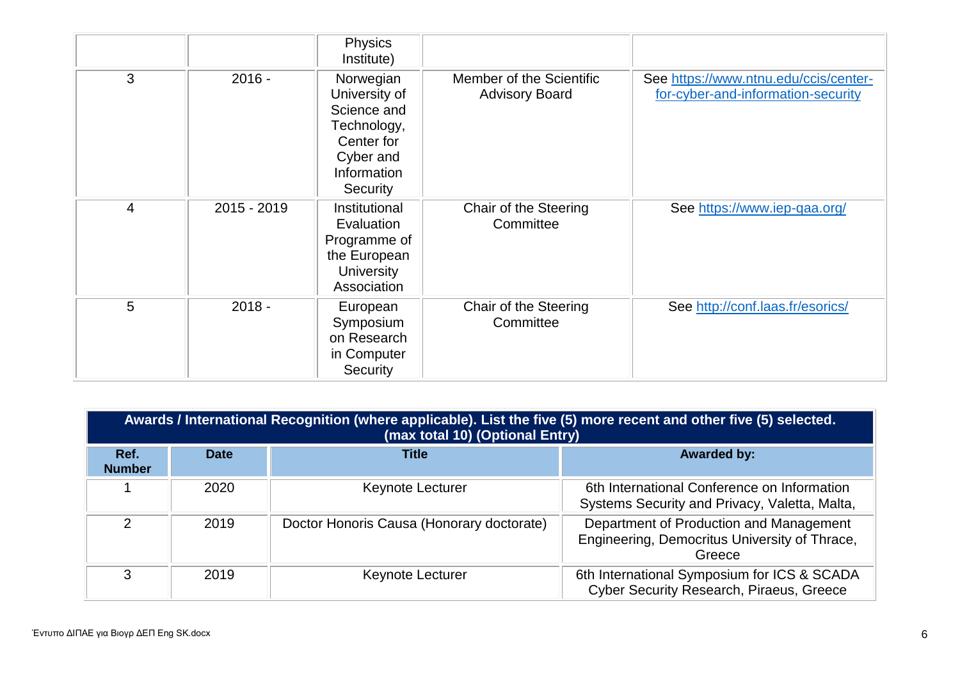|                |             | <b>Physics</b><br>Institute)                                                                                   |                                                   |                                                                             |
|----------------|-------------|----------------------------------------------------------------------------------------------------------------|---------------------------------------------------|-----------------------------------------------------------------------------|
| 3              | $2016 -$    | Norwegian<br>University of<br>Science and<br>Technology,<br>Center for<br>Cyber and<br>Information<br>Security | Member of the Scientific<br><b>Advisory Board</b> | See https://www.ntnu.edu/ccis/center-<br>for-cyber-and-information-security |
| $\overline{4}$ | 2015 - 2019 | Institutional<br>Evaluation<br>Programme of<br>the European<br><b>University</b><br>Association                | Chair of the Steering<br>Committee                | See https://www.iep-qaa.org/                                                |
| 5              | $2018 -$    | European<br>Symposium<br>on Research<br>in Computer<br>Security                                                | Chair of the Steering<br>Committee                | See http://conf.laas.fr/esorics/                                            |

|                       | Awards / International Recognition (where applicable). List the five (5) more recent and other five (5) selected.<br>(max total 10) (Optional Entry) |                                           |                                                                                                    |  |  |  |  |  |
|-----------------------|------------------------------------------------------------------------------------------------------------------------------------------------------|-------------------------------------------|----------------------------------------------------------------------------------------------------|--|--|--|--|--|
| Ref.<br><b>Number</b> | <b>Date</b>                                                                                                                                          | <b>Title</b>                              | <b>Awarded by:</b>                                                                                 |  |  |  |  |  |
|                       | 2020                                                                                                                                                 | Keynote Lecturer                          | 6th International Conference on Information<br>Systems Security and Privacy, Valetta, Malta,       |  |  |  |  |  |
| 2                     | 2019                                                                                                                                                 | Doctor Honoris Causa (Honorary doctorate) | Department of Production and Management<br>Engineering, Democritus University of Thrace,<br>Greece |  |  |  |  |  |
| З                     | 2019                                                                                                                                                 | Keynote Lecturer                          | 6th International Symposium for ICS & SCADA<br>Cyber Security Research, Piraeus, Greece            |  |  |  |  |  |